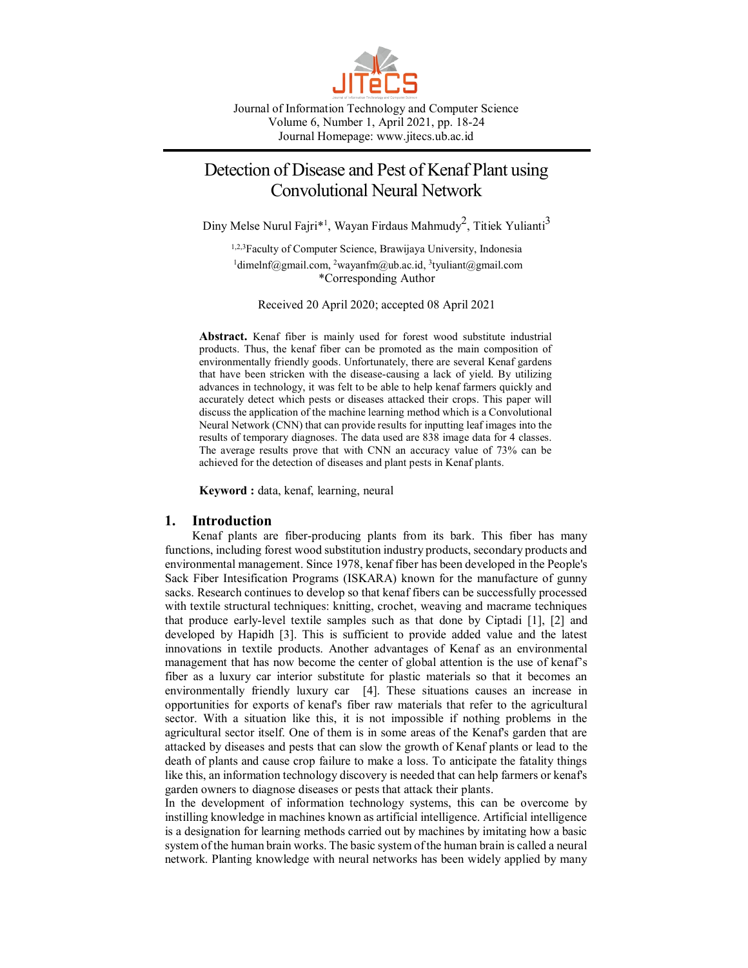

Journal of Information Technology and Computer Science Volume 6, Number 1, April 2021, pp. 18-24 Journal Homepage: www.jitecs.ub.ac.id

# Detection of Disease and Pest of Kenaf Plant using Convolutional Neural Network

Diny Melse Nurul Fajri\*<sup>1</sup>, Wayan Firdaus Mahmudy<sup>2</sup>, Titiek Yulianti<sup>3</sup>

1,2,3Faculty of Computer Science, Brawijaya University, Indonesia <sup>1</sup>dimelnf@gmail.com, <sup>2</sup>[wayanfm@ub.ac.id,](mailto:wayanfm@ub.ac.id) <sup>3</sup>[tyuliant@gmail.com](mailto:tyuliant@gmail.com) \*Corresponding Author

Received 20 April 2020; accepted 08 April 2021

**Abstract.** Kenaf fiber is mainly used for forest wood substitute industrial products. Thus, the kenaf fiber can be promoted as the main composition of environmentally friendly goods. Unfortunately, there are several Kenaf gardens that have been stricken with the disease-causing a lack of yield. By utilizing advances in technology, it was felt to be able to help kenaf farmers quickly and accurately detect which pests or diseases attacked their crops. This paper will discuss the application of the machine learning method which is a Convolutional Neural Network (CNN) that can provide results for inputting leaf images into the results of temporary diagnoses. The data used are 838 image data for 4 classes. The average results prove that with CNN an accuracy value of 73% can be achieved for the detection of diseases and plant pests in Kenaf plants.

**Keyword :** data, kenaf, learning, neural

## **1. Introduction**

Kenaf plants are fiber-producing plants from its bark. This fiber has many functions, including forest wood substitution industry products, secondary products and environmental management. Since 1978, kenaf fiber has been developed in the People's Sack Fiber Intesification Programs (ISKARA) known for the manufacture of gunny sacks. Research continues to develop so that kenaf fibers can be successfully processed with textile structural techniques: knitting, crochet, weaving and macrame techniques that produce early-level textile samples such as that done by Ciptadi [1], [2] and developed by Hapidh [3]. This is sufficient to provide added value and the latest innovations in textile products. Another advantages of Kenaf as an environmental management that has now become the center of global attention is the use of kenaf's fiber as a luxury car interior substitute for plastic materials so that it becomes an environmentally friendly luxury car [4]. These situations causes an increase in opportunities for exports of kenaf's fiber raw materials that refer to the agricultural sector. With a situation like this, it is not impossible if nothing problems in the agricultural sector itself. One of them is in some areas of the Kenaf's garden that are attacked by diseases and pests that can slow the growth of Kenaf plants or lead to the death of plants and cause crop failure to make a loss. To anticipate the fatality things like this, an information technology discovery is needed that can help farmers or kenaf's garden owners to diagnose diseases or pests that attack their plants.

In the development of information technology systems, this can be overcome by instilling knowledge in machines known as artificial intelligence. Artificial intelligence is a designation for learning methods carried out by machines by imitating how a basic system of the human brain works. The basic system of the human brain is called a neural network. Planting knowledge with neural networks has been widely applied by many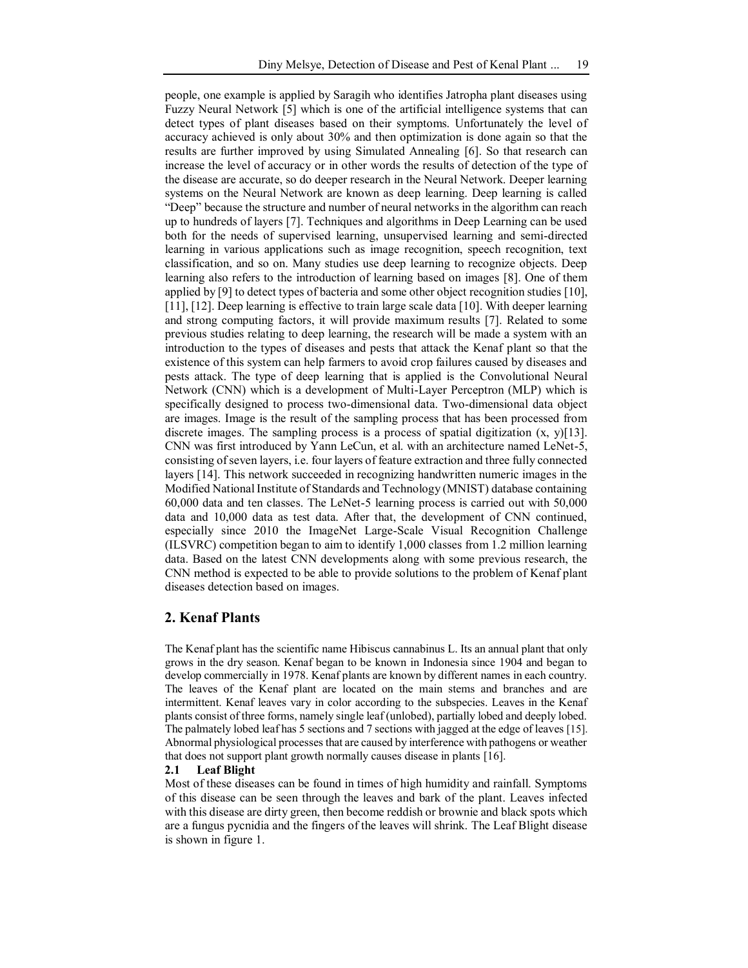people, one example is applied by Saragih who identifies Jatropha plant diseases using Fuzzy Neural Network [5] which is one of the artificial intelligence systems that can detect types of plant diseases based on their symptoms. Unfortunately the level of accuracy achieved is only about 30% and then optimization is done again so that the results are further improved by using Simulated Annealing [6]. So that research can increase the level of accuracy or in other words the results of detection of the type of the disease are accurate, so do deeper research in the Neural Network. Deeper learning systems on the Neural Network are known as deep learning. Deep learning is called "Deep" because the structure and number of neural networks in the algorithm can reach up to hundreds of layers [7]. Techniques and algorithms in Deep Learning can be used both for the needs of supervised learning, unsupervised learning and semi-directed learning in various applications such as image recognition, speech recognition, text classification, and so on. Many studies use deep learning to recognize objects. Deep learning also refers to the introduction of learning based on images [8]. One of them applied by [9] to detect types of bacteria and some other object recognition studies [10], [11], [12]. Deep learning is effective to train large scale data [10]. With deeper learning and strong computing factors, it will provide maximum results [7]. Related to some previous studies relating to deep learning, the research will be made a system with an introduction to the types of diseases and pests that attack the Kenaf plant so that the existence of this system can help farmers to avoid crop failures caused by diseases and pests attack. The type of deep learning that is applied is the Convolutional Neural Network (CNN) which is a development of Multi-Layer Perceptron (MLP) which is specifically designed to process two-dimensional data. Two-dimensional data object are images. Image is the result of the sampling process that has been processed from discrete images. The sampling process is a process of spatial digitization  $(x, y)$ [13]. CNN was first introduced by Yann LeCun, et al. with an architecture named LeNet-5, consisting of seven layers, i.e. four layers of feature extraction and three fully connected layers [14]. This network succeeded in recognizing handwritten numeric images in the Modified National Institute of Standards and Technology (MNIST) database containing 60,000 data and ten classes. The LeNet-5 learning process is carried out with 50,000 data and 10,000 data as test data. After that, the development of CNN continued, especially since 2010 the ImageNet Large-Scale Visual Recognition Challenge (ILSVRC) competition began to aim to identify 1,000 classes from 1.2 million learning data. Based on the latest CNN developments along with some previous research, the CNN method is expected to be able to provide solutions to the problem of Kenaf plant diseases detection based on images.

# **2. Kenaf Plants**

The Kenaf plant has the scientific name Hibiscus cannabinus L. Its an annual plant that only grows in the dry season. Kenaf began to be known in Indonesia since 1904 and began to develop commercially in 1978. Kenaf plants are known by different names in each country. The leaves of the Kenaf plant are located on the main stems and branches and are intermittent. Kenaf leaves vary in color according to the subspecies. Leaves in the Kenaf plants consist of three forms, namely single leaf (unlobed), partially lobed and deeply lobed. The palmately lobed leaf has 5 sections and 7 sections with jagged at the edge of leaves [15]. Abnormal physiological processes that are caused by interference with pathogens or weather that does not support plant growth normally causes disease in plants [16].

#### **2.1 Leaf Blight**

Most of these diseases can be found in times of high humidity and rainfall. Symptoms of this disease can be seen through the leaves and bark of the plant. Leaves infected with this disease are dirty green, then become reddish or brownie and black spots which are a fungus pycnidia and the fingers of the leaves will shrink. The Leaf Blight disease is shown in figure 1.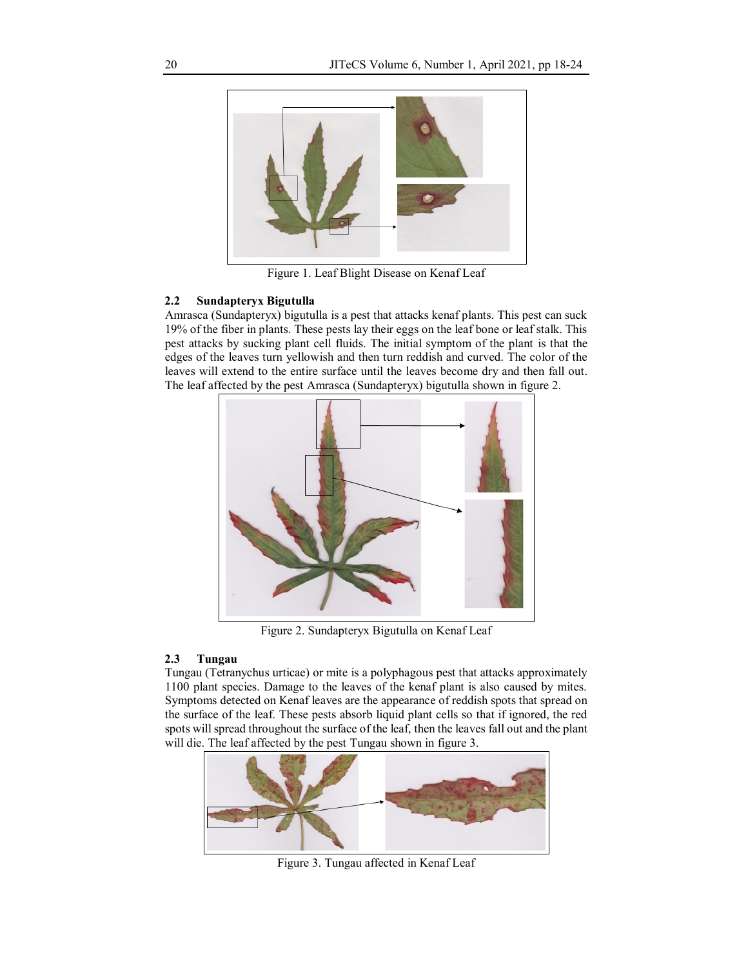

Figure 1. Leaf Blight Disease on Kenaf Leaf

## **2.2 Sundapteryx Bigutulla**

Amrasca (Sundapteryx) bigutulla is a pest that attacks kenaf plants. This pest can suck 19% of the fiber in plants. These pests lay their eggs on the leaf bone or leaf stalk. This pest attacks by sucking plant cell fluids. The initial symptom of the plant is that the edges of the leaves turn yellowish and then turn reddish and curved. The color of the leaves will extend to the entire surface until the leaves become dry and then fall out. The leaf affected by the pest Amrasca (Sundapteryx) bigutulla shown in figure 2.



Figure 2. Sundapteryx Bigutulla on Kenaf Leaf

# **2.3 Tungau**

Tungau (Tetranychus urticae) or mite is a polyphagous pest that attacks approximately 1100 plant species. Damage to the leaves of the kenaf plant is also caused by mites. Symptoms detected on Kenaf leaves are the appearance of reddish spots that spread on the surface of the leaf. These pests absorb liquid plant cells so that if ignored, the red spots will spread throughout the surface of the leaf, then the leaves fall out and the plant will die. The leaf affected by the pest Tungau shown in figure 3.



Figure 3. Tungau affected in Kenaf Leaf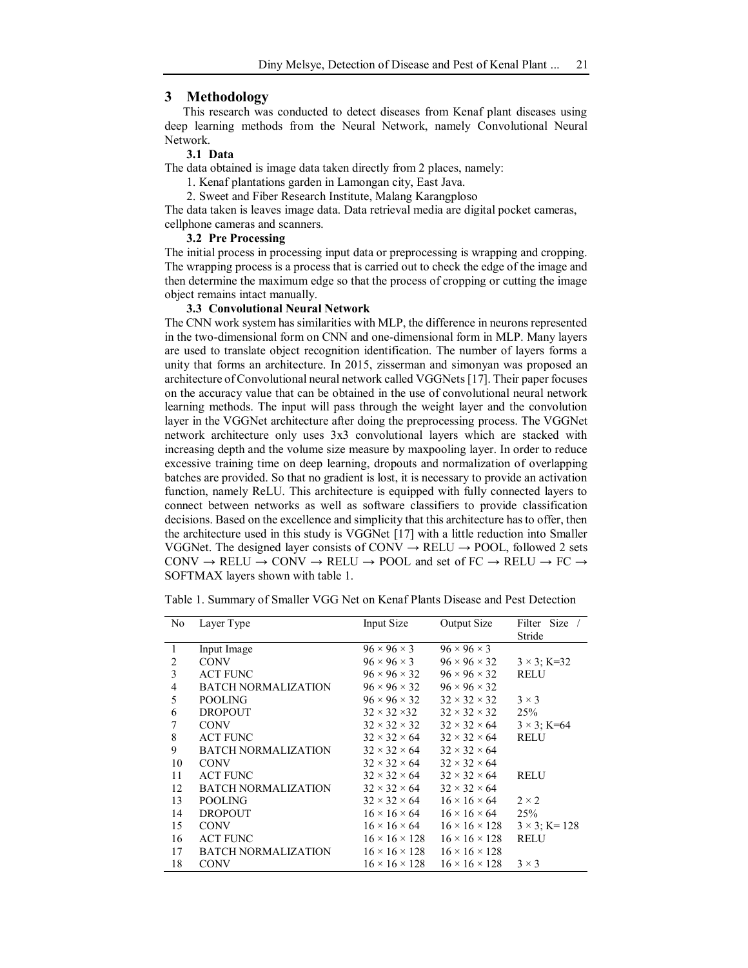#### **3 Methodology**

This research was conducted to detect diseases from Kenaf plant diseases using deep learning methods from the Neural Network, namely Convolutional Neural Network.

#### **3.1 Data**

The data obtained is image data taken directly from 2 places, namely:

1. Kenaf plantations garden in Lamongan city, East Java.

2. Sweet and Fiber Research Institute, Malang Karangploso

The data taken is leaves image data. Data retrieval media are digital pocket cameras, cellphone cameras and scanners.

### **3.2 Pre Processing**

The initial process in processing input data or preprocessing is wrapping and cropping. The wrapping process is a process that is carried out to check the edge of the image and then determine the maximum edge so that the process of cropping or cutting the image object remains intact manually.

## **3.3 Convolutional Neural Network**

The CNN work system has similarities with MLP, the difference in neurons represented in the two-dimensional form on CNN and one-dimensional form in MLP. Many layers are used to translate object recognition identification. The number of layers forms a unity that forms an architecture. In 2015, zisserman and simonyan was proposed an architecture of Convolutional neural network called VGGNets [17]. Their paper focuses on the accuracy value that can be obtained in the use of convolutional neural network learning methods. The input will pass through the weight layer and the convolution layer in the VGGNet architecture after doing the preprocessing process. The VGGNet network architecture only uses 3x3 convolutional layers which are stacked with increasing depth and the volume size measure by maxpooling layer. In order to reduce excessive training time on deep learning, dropouts and normalization of overlapping batches are provided. So that no gradient is lost, it is necessary to provide an activation function, namely ReLU. This architecture is equipped with fully connected layers to connect between networks as well as software classifiers to provide classification decisions. Based on the excellence and simplicity that this architecture has to offer, then the architecture used in this study is VGGNet [17] with a little reduction into Smaller VGGNet. The designed layer consists of CONV  $\rightarrow$  RELU  $\rightarrow$  POOL, followed 2 sets CONV  $\rightarrow$  RELU  $\rightarrow$  CONV  $\rightarrow$  RELU  $\rightarrow$  POOL and set of FC  $\rightarrow$  RELU  $\rightarrow$  FC  $\rightarrow$ SOFTMAX layers shown with table 1.

| No | Layer Type                 | Input Size                | Output Size               | Filter Size /<br>Stride |
|----|----------------------------|---------------------------|---------------------------|-------------------------|
| 1  | Input Image                | $96 \times 96 \times 3$   | $96 \times 96 \times 3$   |                         |
| 2  | <b>CONV</b>                | $96 \times 96 \times 3$   | $96 \times 96 \times 32$  | $3 \times 3$ ; K=32     |
| 3  | <b>ACT FUNC</b>            | $96 \times 96 \times 32$  | $96 \times 96 \times 32$  | RELU                    |
| 4  | <b>BATCH NORMALIZATION</b> | $96 \times 96 \times 32$  | $96 \times 96 \times 32$  |                         |
| 5  | <b>POOLING</b>             | $96 \times 96 \times 32$  | $32 \times 32 \times 32$  | $3 \times 3$            |
| 6  | <b>DROPOUT</b>             | $32 \times 32 \times 32$  | $32 \times 32 \times 32$  | 25%                     |
| 7  | <b>CONV</b>                | $32 \times 32 \times 32$  | $32 \times 32 \times 64$  | $3 \times 3$ ; K=64     |
| 8  | <b>ACT FUNC</b>            | $32 \times 32 \times 64$  | $32 \times 32 \times 64$  | <b>RELU</b>             |
| 9  | BATCH NORMALIZATION        | $32 \times 32 \times 64$  | $32 \times 32 \times 64$  |                         |
| 10 | <b>CONV</b>                | $32 \times 32 \times 64$  | $32 \times 32 \times 64$  |                         |
| 11 | <b>ACT FUNC</b>            | $32 \times 32 \times 64$  | $32 \times 32 \times 64$  | <b>RELU</b>             |
| 12 | <b>BATCH NORMALIZATION</b> | $32 \times 32 \times 64$  | $32 \times 32 \times 64$  |                         |
| 13 | <b>POOLING</b>             | $32 \times 32 \times 64$  | $16 \times 16 \times 64$  | $2 \times 2$            |
| 14 | <b>DROPOUT</b>             | $16 \times 16 \times 64$  | $16 \times 16 \times 64$  | 25%                     |
| 15 | <b>CONV</b>                | $16 \times 16 \times 64$  | $16 \times 16 \times 128$ | $3 \times 3$ ; K= 128   |
| 16 | <b>ACT FUNC</b>            | $16 \times 16 \times 128$ | $16 \times 16 \times 128$ | RELU                    |
| 17 | BATCH NORMALIZATION        | $16 \times 16 \times 128$ | $16 \times 16 \times 128$ |                         |
| 18 | <b>CONV</b>                | $16 \times 16 \times 128$ | $16 \times 16 \times 128$ | $3 \times 3$            |

Table 1. Summary of Smaller VGG Net on Kenaf Plants Disease and Pest Detection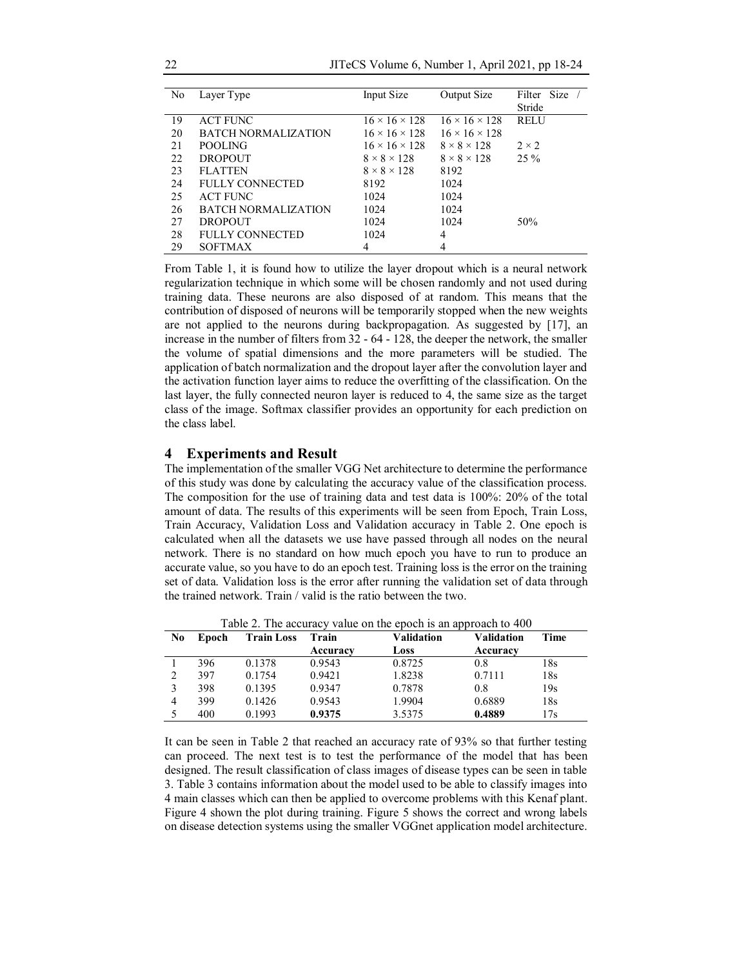22 JITeCS Volume 6, Number 1, April 2021, pp 18-24

| No | Layer Type                 | Input Size                | Output Size               | Filter Size  |
|----|----------------------------|---------------------------|---------------------------|--------------|
|    |                            |                           |                           | Stride       |
| 19 | <b>ACT FUNC</b>            | $16 \times 16 \times 128$ | $16 \times 16 \times 128$ | <b>RELU</b>  |
| 20 | <b>BATCH NORMALIZATION</b> | $16 \times 16 \times 128$ | $16 \times 16 \times 128$ |              |
| 21 | <b>POOLING</b>             | $16 \times 16 \times 128$ | $8 \times 8 \times 128$   | $2 \times 2$ |
| 22 | <b>DROPOUT</b>             | $8 \times 8 \times 128$   | $8 \times 8 \times 128$   | $25\%$       |
| 23 | <b>FLATTEN</b>             | $8 \times 8 \times 128$   | 8192                      |              |
| 24 | FULLY CONNECTED            | 8192                      | 1024                      |              |
| 25 | <b>ACT FUNC</b>            | 1024                      | 1024                      |              |
| 26 | <b>BATCH NORMALIZATION</b> | 1024                      | 1024                      |              |
| 27 | <b>DROPOUT</b>             | 1024                      | 1024                      | 50%          |
| 28 | FULLY CONNECTED            | 1024                      | 4                         |              |
| 29 | <b>SOFTMAX</b>             | 4                         | 4                         |              |

From Table 1, it is found how to utilize the layer dropout which is a neural network regularization technique in which some will be chosen randomly and not used during training data. These neurons are also disposed of at random. This means that the contribution of disposed of neurons will be temporarily stopped when the new weights are not applied to the neurons during backpropagation. As suggested by [17], an increase in the number of filters from 32 - 64 - 128, the deeper the network, the smaller the volume of spatial dimensions and the more parameters will be studied. The application of batch normalization and the dropout layer after the convolution layer and the activation function layer aims to reduce the overfitting of the classification. On the last layer, the fully connected neuron layer is reduced to 4, the same size as the target class of the image. Softmax classifier provides an opportunity for each prediction on the class label.

## **4 Experiments and Result**

The implementation of the smaller VGG Net architecture to determine the performance of this study was done by calculating the accuracy value of the classification process. The composition for the use of training data and test data is 100%: 20% of the total amount of data. The results of this experiments will be seen from Epoch, Train Loss, Train Accuracy, Validation Loss and Validation accuracy in Table 2. One epoch is calculated when all the datasets we use have passed through all nodes on the neural network. There is no standard on how much epoch you have to run to produce an accurate value, so you have to do an epoch test. Training loss is the error on the training set of data. Validation loss is the error after running the validation set of data through the trained network. Train / valid is the ratio between the two.

| No | Epoch | <b>Train Loss</b> | Train    | Validation | Validation | Time |
|----|-------|-------------------|----------|------------|------------|------|
|    |       |                   | Accuracy | Loss       | Accuracy   |      |
|    | 396   | 0.1378            | 0.9543   | 0.8725     | 0.8        | 18s  |
| 2  | 397   | 0.1754            | 0.9421   | 1.8238     | 0.7111     | 18s  |
| 3  | 398   | 0.1395            | 0.9347   | 0.7878     | 0.8        | 19s  |
| 4  | 399   | 0.1426            | 0.9543   | 1.9904     | 0.6889     | 18s  |
|    | 400   | 0.1993            | 0.9375   | 3.5375     | 0.4889     | 17s  |

Table 2. The accuracy value on the epoch is an approach to 400

It can be seen in Table 2 that reached an accuracy rate of 93% so that further testing can proceed. The next test is to test the performance of the model that has been designed. The result classification of class images of disease types can be seen in table 3. Table 3 contains information about the model used to be able to classify images into 4 main classes which can then be applied to overcome problems with this Kenaf plant. Figure 4 shown the plot during training. Figure 5 shows the correct and wrong labels on disease detection systems using the smaller VGGnet application model architecture.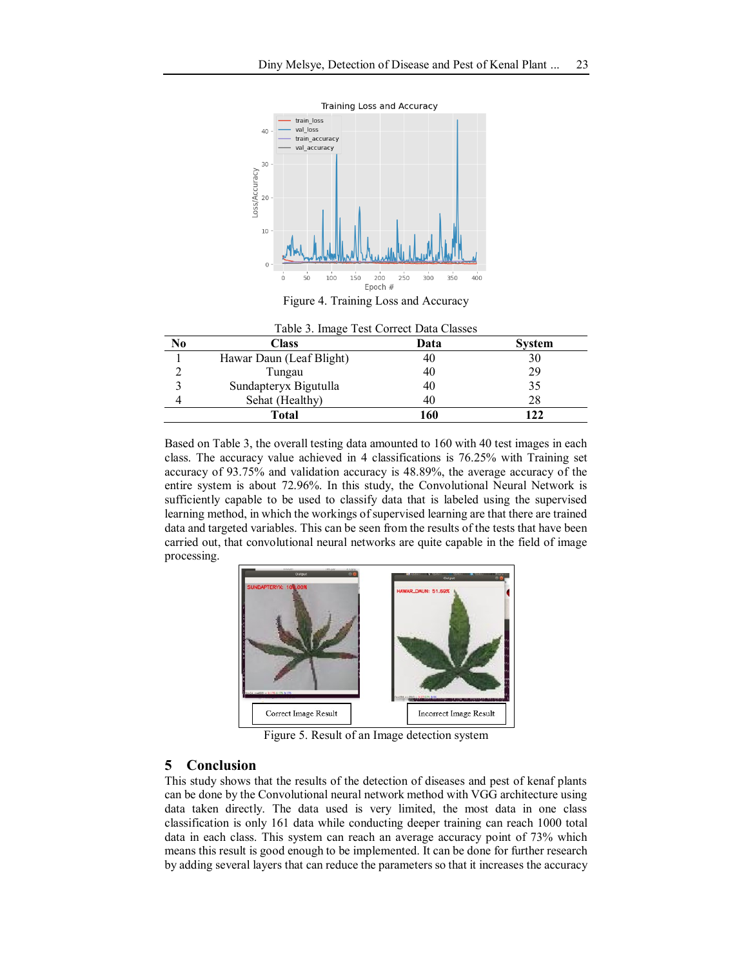

Figure 4. Training Loss and Accuracy

|    | Table 3. Image Test Correct Data Classes |      |        |
|----|------------------------------------------|------|--------|
| No | Class                                    | Data | System |
|    | Hawar Daun (Leaf Blight)                 | 40   | 30     |
|    | Tungau                                   | 40   | 29     |
|    | Sundapteryx Bigutulla                    | 40   | 35     |
|    | Sehat (Healthy)                          | 40   | 28     |
|    | Total                                    | 160  |        |

Based on Table 3, the overall testing data amounted to 160 with 40 test images in each class. The accuracy value achieved in 4 classifications is 76.25% with Training set accuracy of 93.75% and validation accuracy is 48.89%, the average accuracy of the entire system is about 72.96%. In this study, the Convolutional Neural Network is sufficiently capable to be used to classify data that is labeled using the supervised learning method, in which the workings of supervised learning are that there are trained data and targeted variables. This can be seen from the results of the tests that have been carried out, that convolutional neural networks are quite capable in the field of image processing.



Figure 5. Result of an Image detection system

# **5 Conclusion**

This study shows that the results of the detection of diseases and pest of kenaf plants can be done by the Convolutional neural network method with VGG architecture using data taken directly. The data used is very limited, the most data in one class classification is only 161 data while conducting deeper training can reach 1000 total data in each class. This system can reach an average accuracy point of 73% which means this result is good enough to be implemented. It can be done for further research by adding several layers that can reduce the parameters so that it increases the accuracy